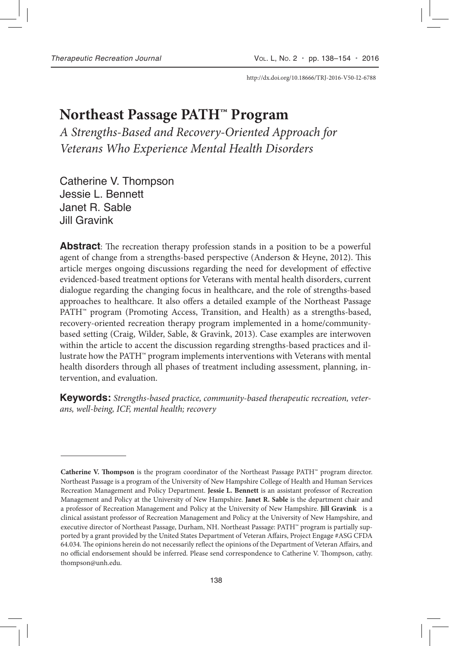http://dx.doi.org/10.18666/TRJ-2016-V50-I2-6788

# **Northeast Passage PATH™ Program**

*A Strengths-Based and Recovery-Oriented Approach for Veterans Who Experience Mental Health Disorders*

Catherine V. Thompson Jessie L. Bennett Janet R. Sable Jill Gravink

**Abstract**: The recreation therapy profession stands in a position to be a powerful agent of change from a strengths-based perspective (Anderson & Heyne, 2012). This article merges ongoing discussions regarding the need for development of effective evidenced-based treatment options for Veterans with mental health disorders, current dialogue regarding the changing focus in healthcare, and the role of strengths-based approaches to healthcare. It also offers a detailed example of the Northeast Passage PATH™ program (Promoting Access, Transition, and Health) as a strengths-based, recovery-oriented recreation therapy program implemented in a home/communitybased setting (Craig, Wilder, Sable, & Gravink, 2013). Case examples are interwoven within the article to accent the discussion regarding strengths-based practices and illustrate how the PATH™ program implements interventions with Veterans with mental health disorders through all phases of treatment including assessment, planning, intervention, and evaluation.

**Keywords:** *Strengths-based practice, community-based therapeutic recreation, veterans, well-being, ICF, mental health; recovery*

**Catherine V. Thompson** is the program coordinator of the Northeast Passage PATH™ program director. Northeast Passage is a program of the University of New Hampshire College of Health and Human Services Recreation Management and Policy Department. **Jessie L. Bennett** is an assistant professor of Recreation Management and Policy at the University of New Hampshire. **Janet R. Sable** is the department chair and a professor of Recreation Management and Policy at the University of New Hampshire. **Jill Gravink** is a clinical assistant professor of Recreation Management and Policy at the University of New Hampshire, and executive director of Northeast Passage, Durham, NH. Northeast Passage: PATH™ program is partially supported by a grant provided by the United States Department of Veteran Affairs, Project Engage #ASG CFDA 64.034. The opinions herein do not necessarily reflect the opinions of the Department of Veteran Affairs, and no official endorsement should be inferred. Please send correspondence to Catherine V. Thompson, cathy. thompson@unh.edu.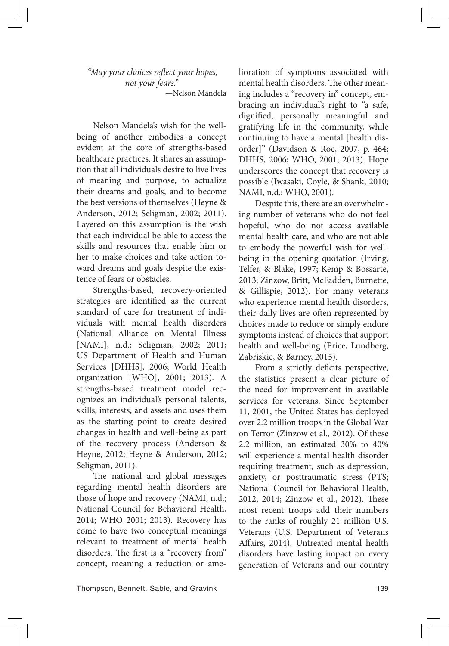"May your choices reflect your hopes, *not your fears."*  —Nelson Mandela

Nelson Mandela's wish for the wellbeing of another embodies a concept evident at the core of strengths-based healthcare practices. It shares an assumption that all individuals desire to live lives of meaning and purpose, to actualize their dreams and goals, and to become the best versions of themselves (Heyne & Anderson, 2012; Seligman, 2002; 2011). Layered on this assumption is the wish that each individual be able to access the skills and resources that enable him or her to make choices and take action toward dreams and goals despite the existence of fears or obstacles.

Strengths-based, recovery-oriented strategies are identified as the current standard of care for treatment of individuals with mental health disorders (National Alliance on Mental Illness [NAMI], n.d.; Seligman, 2002; 2011; US Department of Health and Human Services [DHHS], 2006; World Health organization [WHO], 2001; 2013). A strengths-based treatment model recognizes an individual's personal talents, skills, interests, and assets and uses them as the starting point to create desired changes in health and well-being as part of the recovery process (Anderson & Heyne, 2012; Heyne & Anderson, 2012; Seligman, 2011).

The national and global messages regarding mental health disorders are those of hope and recovery (NAMI, n.d.; National Council for Behavioral Health, 2014; WHO 2001; 2013). Recovery has come to have two conceptual meanings relevant to treatment of mental health disorders. The first is a "recovery from" concept, meaning a reduction or amelioration of symptoms associated with mental health disorders. The other meaning includes a "recovery in" concept, embracing an individual's right to "a safe, dignified, personally meaningful and gratifying life in the community, while continuing to have a mental [health disorder]" (Davidson & Roe, 2007, p. 464; DHHS, 2006; WHO, 2001; 2013). Hope underscores the concept that recovery is possible (Iwasaki, Coyle, & Shank, 2010; NAMI, n.d.; WHO, 2001).

Despite this, there are an overwhelming number of veterans who do not feel hopeful, who do not access available mental health care, and who are not able to embody the powerful wish for wellbeing in the opening quotation (Irving, Telfer, & Blake, 1997; Kemp & Bossarte, 2013; Zinzow, Britt, McFadden, Burnette, & Gillispie, 2012). For many veterans who experience mental health disorders, their daily lives are often represented by choices made to reduce or simply endure symptoms instead of choices that support health and well-being (Price, Lundberg, Zabriskie, & Barney, 2015).

From a strictly deficits perspective, the statistics present a clear picture of the need for improvement in available services for veterans. Since September 11, 2001, the United States has deployed over 2.2 million troops in the Global War on Terror (Zinzow et al., 2012). Of these 2.2 million, an estimated 30% to 40% will experience a mental health disorder requiring treatment, such as depression, anxiety, or posttraumatic stress (PTS; National Council for Behavioral Health, 2012, 2014; Zinzow et al., 2012). These most recent troops add their numbers to the ranks of roughly 21 million U.S. Veterans (U.S. Department of Veterans Affairs, 2014). Untreated mental health disorders have lasting impact on every generation of Veterans and our country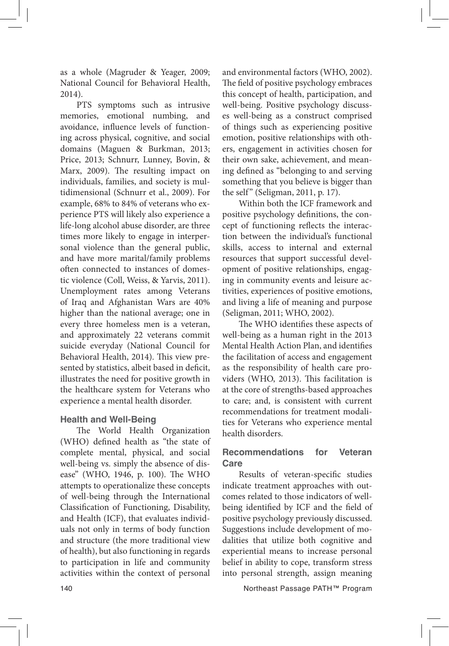as a whole (Magruder & Yeager, 2009; National Council for Behavioral Health, 2014).

PTS symptoms such as intrusive memories, emotional numbing, and avoidance, influence levels of functioning across physical, cognitive, and social domains (Maguen & Burkman, 2013; Price, 2013; Schnurr, Lunney, Bovin, & Marx, 2009). The resulting impact on individuals, families, and society is multidimensional (Schnurr et al., 2009). For example, 68% to 84% of veterans who experience PTS will likely also experience a life-long alcohol abuse disorder, are three times more likely to engage in interpersonal violence than the general public, and have more marital/family problems often connected to instances of domestic violence (Coll, Weiss, & Yarvis, 2011). Unemployment rates among Veterans of Iraq and Afghanistan Wars are 40% higher than the national average; one in every three homeless men is a veteran, and approximately 22 veterans commit suicide everyday (National Council for Behavioral Health, 2014). This view presented by statistics, albeit based in deficit, illustrates the need for positive growth in the healthcare system for Veterans who experience a mental health disorder.

## **Health and Well-Being**

The World Health Organization (WHO) defined health as "the state of complete mental, physical, and social well-being vs. simply the absence of disease" (WHO, 1946, p. 100). The WHO attempts to operationalize these concepts of well-being through the International Classification of Functioning, Disability, and Health (ICF), that evaluates individuals not only in terms of body function and structure (the more traditional view of health), but also functioning in regards to participation in life and community activities within the context of personal and environmental factors (WHO, 2002). The field of positive psychology embraces this concept of health, participation, and well-being. Positive psychology discusses well-being as a construct comprised of things such as experiencing positive emotion, positive relationships with others, engagement in activities chosen for their own sake, achievement, and meaning defined as "belonging to and serving something that you believe is bigger than the self" (Seligman, 2011, p. 17).

Within both the ICF framework and positive psychology definitions, the concept of functioning reflects the interaction between the individual's functional skills, access to internal and external resources that support successful development of positive relationships, engaging in community events and leisure activities, experiences of positive emotions, and living a life of meaning and purpose (Seligman, 2011; WHO, 2002).

The WHO identifies these aspects of well-being as a human right in the 2013 Mental Health Action Plan, and identifies the facilitation of access and engagement as the responsibility of health care providers (WHO, 2013). This facilitation is at the core of strengths-based approaches to care; and, is consistent with current recommendations for treatment modalities for Veterans who experience mental health disorders.

## **Recommendations for Veteran Care**

Results of veteran-specific studies indicate treatment approaches with outcomes related to those indicators of wellbeing identified by ICF and the field of positive psychology previously discussed. Suggestions include development of modalities that utilize both cognitive and experiential means to increase personal belief in ability to cope, transform stress into personal strength, assign meaning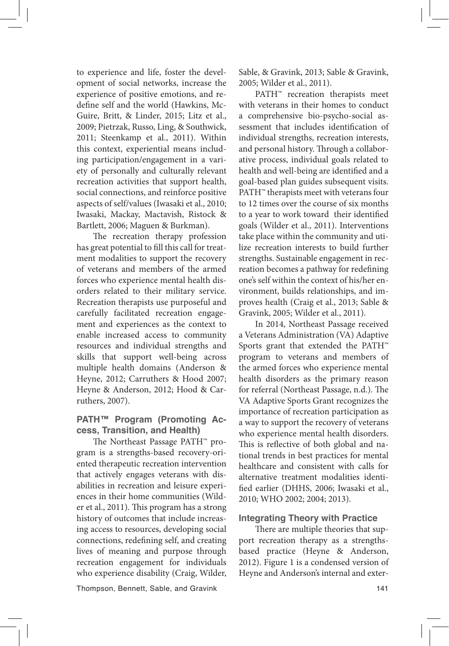to experience and life, foster the development of social networks, increase the experience of positive emotions, and redefine self and the world (Hawkins, Mc-Guire, Britt, & Linder, 2015; Litz et al., 2009; Pietrzak, Russo, Ling, & Southwick, 2011; Steenkamp et al., 2011). Within this context, experiential means including participation/engagement in a variety of personally and culturally relevant recreation activities that support health, social connections, and reinforce positive aspects of self/values (Iwasaki et al., 2010; Iwasaki, Mackay, Mactavish, Ristock & Bartlett, 2006; Maguen & Burkman).

The recreation therapy profession has great potential to fill this call for treatment modalities to support the recovery of veterans and members of the armed forces who experience mental health disorders related to their military service. Recreation therapists use purposeful and carefully facilitated recreation engagement and experiences as the context to enable increased access to community resources and individual strengths and skills that support well-being across multiple health domains (Anderson & Heyne, 2012; Carruthers & Hood 2007; Heyne & Anderson, 2012; Hood & Carruthers, 2007).

#### **PATH™ Program (Promoting Access, Transition, and Health)**

The Northeast Passage PATH™ program is a strengths-based recovery-oriented therapeutic recreation intervention that actively engages veterans with disabilities in recreation and leisure experiences in their home communities (Wilder et al., 2011). This program has a strong history of outcomes that include increasing access to resources, developing social connections, redefining self, and creating lives of meaning and purpose through recreation engagement for individuals who experience disability (Craig, Wilder,

Sable, & Gravink, 2013; Sable & Gravink, 2005; Wilder et al., 2011).

PATH<sup>™</sup> recreation therapists meet with veterans in their homes to conduct a comprehensive bio-psycho-social assessment that includes identification of individual strengths, recreation interests, and personal history. Through a collaborative process, individual goals related to health and well-being are identified and a goal-based plan guides subsequent visits. PATH™ therapists meet with veterans four to 12 times over the course of six months to a year to work toward their identified goals (Wilder et al., 2011). Interventions take place within the community and utilize recreation interests to build further strengths. Sustainable engagement in recreation becomes a pathway for redefining one's self within the context of his/her environment, builds relationships, and improves health (Craig et al., 2013; Sable & Gravink, 2005; Wilder et al., 2011).

In 2014, Northeast Passage received a Veterans Administration (VA) Adaptive Sports grant that extended the PATH™ program to veterans and members of the armed forces who experience mental health disorders as the primary reason for referral (Northeast Passage, n.d.). The VA Adaptive Sports Grant recognizes the importance of recreation participation as a way to support the recovery of veterans who experience mental health disorders. This is reflective of both global and national trends in best practices for mental healthcare and consistent with calls for alternative treatment modalities identified earlier (DHHS, 2006; Iwasaki et al., 2010; WHO 2002; 2004; 2013).

#### **Integrating Theory with Practice**

There are multiple theories that support recreation therapy as a strengthsbased practice (Heyne & Anderson, 2012). Figure 1 is a condensed version of Heyne and Anderson's internal and exter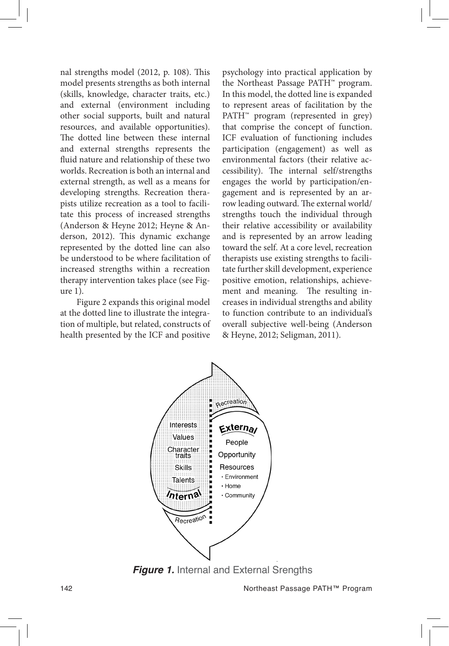nal strengths model (2012, p. 108). This model presents strengths as both internal (skills, knowledge, character traits, etc.) and external (environment including other social supports, built and natural resources, and available opportunities). The dotted line between these internal and external strengths represents the fluid nature and relationship of these two worlds. Recreation is both an internal and external strength, as well as a means for developing strengths. Recreation therapists utilize recreation as a tool to facilitate this process of increased strengths (Anderson & Heyne 2012; Heyne & Anderson, 2012). This dynamic exchange represented by the dotted line can also be understood to be where facilitation of increased strengths within a recreation therapy intervention takes place (see Figure 1).

Figure 2 expands this original model at the dotted line to illustrate the integration of multiple, but related, constructs of health presented by the ICF and positive

psychology into practical application by the Northeast Passage PATH™ program. In this model, the dotted line is expanded to represent areas of facilitation by the PATH<sup>™</sup> program (represented in grey) that comprise the concept of function. ICF evaluation of functioning includes participation (engagement) as well as environmental factors (their relative accessibility). The internal self/strengths engages the world by participation/engagement and is represented by an arrow leading outward. The external world/ strengths touch the individual through their relative accessibility or availability and is represented by an arrow leading toward the self. At a core level, recreation therapists use existing strengths to facilitate further skill development, experience positive emotion, relationships, achievement and meaning. The resulting increases in individual strengths and ability to function contribute to an individual's overall subjective well-being (Anderson & Heyne, 2012; Seligman, 2011).



**Figure 1.** Internal and External Srengths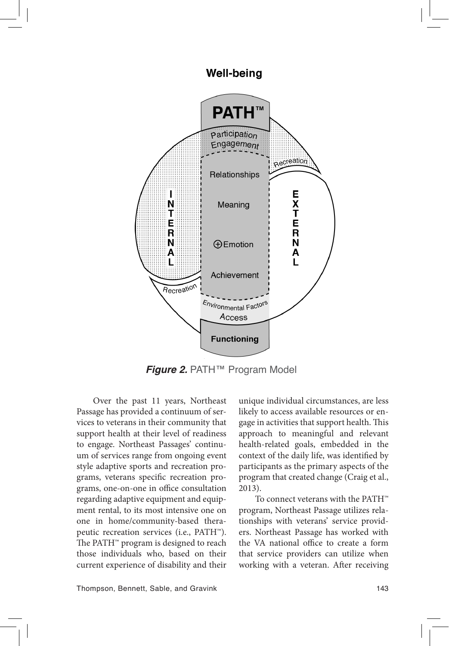## **Well-being**



*Figure 2.* PATH™ Program Model

Over the past 11 years, Northeast Passage has provided a continuum of services to veterans in their community that support health at their level of readiness to engage. Northeast Passages' continuum of services range from ongoing event style adaptive sports and recreation programs, veterans specific recreation programs, one-on-one in office consultation regarding adaptive equipment and equipment rental, to its most intensive one on one in home/community-based therapeutic recreation services (i.e., PATH™). The PATH™ program is designed to reach those individuals who, based on their current experience of disability and their

unique individual circumstances, are less likely to access available resources or engage in activities that support health. This approach to meaningful and relevant health-related goals, embedded in the context of the daily life, was identified by participants as the primary aspects of the program that created change (Craig et al., 2013).

To connect veterans with the PATH™ program, Northeast Passage utilizes relationships with veterans' service providers. Northeast Passage has worked with the VA national office to create a form that service providers can utilize when working with a veteran. After receiving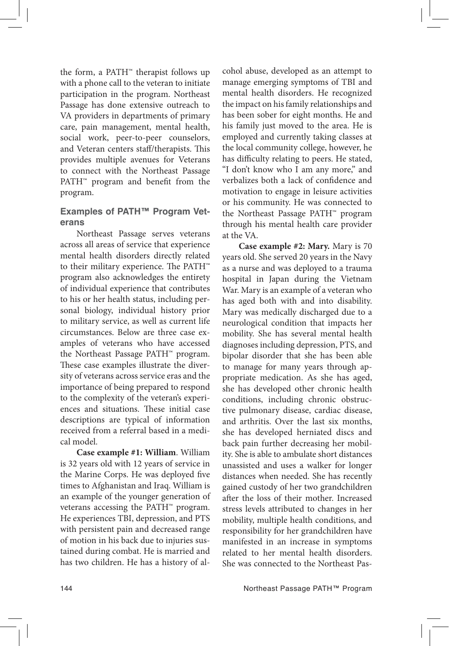the form, a PATH™ therapist follows up with a phone call to the veteran to initiate participation in the program. Northeast Passage has done extensive outreach to VA providers in departments of primary care, pain management, mental health, social work, peer-to-peer counselors, and Veteran centers staff/therapists. This provides multiple avenues for Veterans to connect with the Northeast Passage PATH<sup>™</sup> program and benefit from the program.

#### **Examples of PATH™ Program Veterans**

Northeast Passage serves veterans across all areas of service that experience mental health disorders directly related to their military experience. The PATH™ program also acknowledges the entirety of individual experience that contributes to his or her health status, including personal biology, individual history prior to military service, as well as current life circumstances. Below are three case examples of veterans who have accessed the Northeast Passage PATH™ program. These case examples illustrate the diversity of veterans across service eras and the importance of being prepared to respond to the complexity of the veteran's experiences and situations. These initial case descriptions are typical of information received from a referral based in a medical model.

**Case example #1: William**. William is 32 years old with 12 years of service in the Marine Corps. He was deployed five times to Afghanistan and Iraq. William is an example of the younger generation of veterans accessing the PATH™ program. He experiences TBI, depression, and PTS with persistent pain and decreased range of motion in his back due to injuries sustained during combat. He is married and has two children. He has a history of alcohol abuse, developed as an attempt to manage emerging symptoms of TBI and mental health disorders. He recognized the impact on his family relationships and has been sober for eight months. He and his family just moved to the area. He is employed and currently taking classes at the local community college, however, he has difficulty relating to peers. He stated, "I don't know who I am any more," and verbalizes both a lack of confidence and motivation to engage in leisure activities or his community. He was connected to the Northeast Passage PATH™ program through his mental health care provider at the VA.

**Case example #2: Mary.** Mary is 70 years old. She served 20 years in the Navy as a nurse and was deployed to a trauma hospital in Japan during the Vietnam War. Mary is an example of a veteran who has aged both with and into disability. Mary was medically discharged due to a neurological condition that impacts her mobility. She has several mental health diagnoses including depression, PTS, and bipolar disorder that she has been able to manage for many years through appropriate medication. As she has aged, she has developed other chronic health conditions, including chronic obstructive pulmonary disease, cardiac disease, and arthritis. Over the last six months, she has developed herniated discs and back pain further decreasing her mobility. She is able to ambulate short distances unassisted and uses a walker for longer distances when needed. She has recently gained custody of her two grandchildren after the loss of their mother. Increased stress levels attributed to changes in her mobility, multiple health conditions, and responsibility for her grandchildren have manifested in an increase in symptoms related to her mental health disorders. She was connected to the Northeast Pas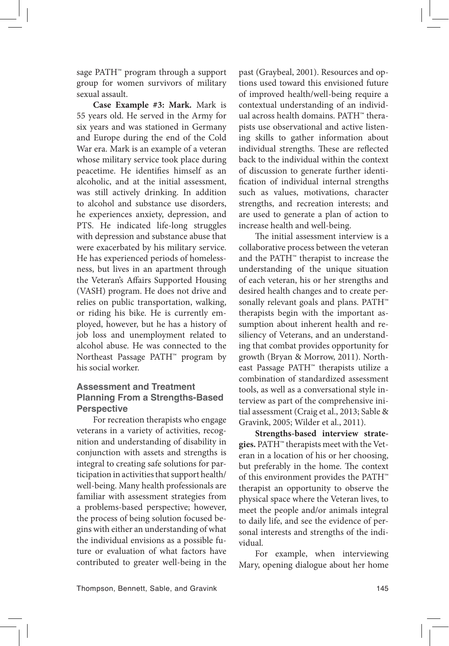sage PATH™ program through a support group for women survivors of military sexual assault.

**Case Example #3: Mark.** Mark is 55 years old. He served in the Army for six years and was stationed in Germany and Europe during the end of the Cold War era. Mark is an example of a veteran whose military service took place during peacetime. He identifies himself as an alcoholic, and at the initial assessment, was still actively drinking. In addition to alcohol and substance use disorders, he experiences anxiety, depression, and PTS. He indicated life-long struggles with depression and substance abuse that were exacerbated by his military service. He has experienced periods of homelessness, but lives in an apartment through the Veteran's Affairs Supported Housing (VASH) program. He does not drive and relies on public transportation, walking, or riding his bike. He is currently employed, however, but he has a history of job loss and unemployment related to alcohol abuse. He was connected to the Northeast Passage PATH™ program by his social worker.

#### **Assessment and Treatment Planning From a Strengths-Based Perspective**

For recreation therapists who engage veterans in a variety of activities, recognition and understanding of disability in conjunction with assets and strengths is integral to creating safe solutions for participation in activities that support health/ well-being. Many health professionals are familiar with assessment strategies from a problems-based perspective; however, the process of being solution focused begins with either an understanding of what the individual envisions as a possible future or evaluation of what factors have contributed to greater well-being in the

past (Graybeal, 2001). Resources and options used toward this envisioned future of improved health/well-being require a contextual understanding of an individual across health domains. PATH™ therapists use observational and active listening skills to gather information about individual strengths. These are reflected back to the individual within the context of discussion to generate further identification of individual internal strengths such as values, motivations, character strengths, and recreation interests; and are used to generate a plan of action to increase health and well-being.

The initial assessment interview is a collaborative process between the veteran and the PATH™ therapist to increase the understanding of the unique situation of each veteran, his or her strengths and desired health changes and to create personally relevant goals and plans. PATH™ therapists begin with the important assumption about inherent health and resiliency of Veterans, and an understanding that combat provides opportunity for growth (Bryan & Morrow, 2011). Northeast Passage PATH™ therapists utilize a combination of standardized assessment tools, as well as a conversational style interview as part of the comprehensive initial assessment (Craig et al., 2013; Sable & Gravink, 2005; Wilder et al., 2011).

**Strengths-based interview strategies.** PATH™ therapists meet with the Veteran in a location of his or her choosing, but preferably in the home. The context of this environment provides the PATH™ therapist an opportunity to observe the physical space where the Veteran lives, to meet the people and/or animals integral to daily life, and see the evidence of personal interests and strengths of the individual.

For example, when interviewing Mary, opening dialogue about her home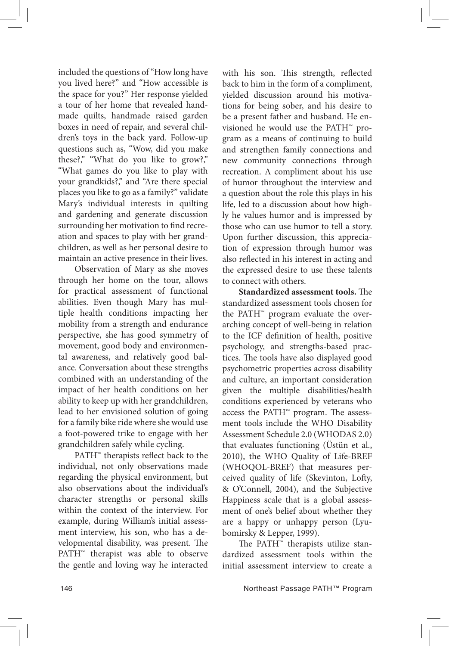included the questions of "How long have you lived here?" and "How accessible is the space for you?" Her response yielded a tour of her home that revealed handmade quilts, handmade raised garden boxes in need of repair, and several children's toys in the back yard. Follow-up questions such as, "Wow, did you make these?," "What do you like to grow?," "What games do you like to play with your grandkids?," and "Are there special places you like to go as a family?" validate Mary's individual interests in quilting and gardening and generate discussion surrounding her motivation to find recreation and spaces to play with her grandchildren, as well as her personal desire to maintain an active presence in their lives.

Observation of Mary as she moves through her home on the tour, allows for practical assessment of functional abilities. Even though Mary has multiple health conditions impacting her mobility from a strength and endurance perspective, she has good symmetry of movement, good body and environmental awareness, and relatively good balance. Conversation about these strengths combined with an understanding of the impact of her health conditions on her ability to keep up with her grandchildren, lead to her envisioned solution of going for a family bike ride where she would use a foot-powered trike to engage with her grandchildren safely while cycling.

PATH<sup>™</sup> therapists reflect back to the individual, not only observations made regarding the physical environment, but also observations about the individual's character strengths or personal skills within the context of the interview. For example, during William's initial assessment interview, his son, who has a developmental disability, was present. The PATH™ therapist was able to observe the gentle and loving way he interacted with his son. This strength, reflected back to him in the form of a compliment, yielded discussion around his motivations for being sober, and his desire to be a present father and husband. He envisioned he would use the PATH™ program as a means of continuing to build and strengthen family connections and new community connections through recreation. A compliment about his use of humor throughout the interview and a question about the role this plays in his life, led to a discussion about how highly he values humor and is impressed by those who can use humor to tell a story. Upon further discussion, this appreciation of expression through humor was also reflected in his interest in acting and the expressed desire to use these talents to connect with others.

**Standardized assessment tools.** The standardized assessment tools chosen for the PATH™ program evaluate the overarching concept of well-being in relation to the ICF definition of health, positive psychology, and strengths-based practices. The tools have also displayed good psychometric properties across disability and culture, an important consideration given the multiple disabilities/health conditions experienced by veterans who access the PATH™ program. The assessment tools include the WHO Disability Assessment Schedule 2.0 (WHODAS 2.0) that evaluates functioning (Üstün et al., 2010), the WHO Quality of Life-BREF (WHOQOL-BREF) that measures perceived quality of life (Skevinton, Lofty, & O'Connell, 2004), and the Subjective Happiness scale that is a global assessment of one's belief about whether they are a happy or unhappy person (Lyubomirsky & Lepper, 1999).

The PATH™ therapists utilize standardized assessment tools within the initial assessment interview to create a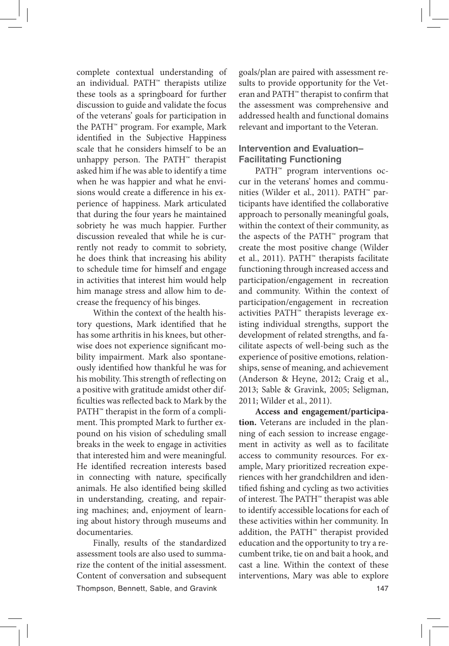complete contextual understanding of an individual. PATH™ therapists utilize these tools as a springboard for further discussion to guide and validate the focus of the veterans' goals for participation in the PATH™ program. For example, Mark identified in the Subjective Happiness scale that he considers himself to be an unhappy person. The PATH™ therapist asked him if he was able to identify a time when he was happier and what he envisions would create a difference in his experience of happiness. Mark articulated that during the four years he maintained sobriety he was much happier. Further discussion revealed that while he is currently not ready to commit to sobriety, he does think that increasing his ability to schedule time for himself and engage in activities that interest him would help him manage stress and allow him to decrease the frequency of his binges.

Within the context of the health history questions, Mark identified that he has some arthritis in his knees, but otherwise does not experience significant mobility impairment. Mark also spontaneously identified how thankful he was for his mobility. This strength of reflecting on a positive with gratitude amidst other difficulties was reflected back to Mark by the PATH™ therapist in the form of a compliment. This prompted Mark to further expound on his vision of scheduling small breaks in the week to engage in activities that interested him and were meaningful. He identified recreation interests based in connecting with nature, specifically animals. He also identified being skilled in understanding, creating, and repairing machines; and, enjoyment of learning about history through museums and documentaries.

Thompson, Bennett, Sable, and Gravink 147 Finally, results of the standardized assessment tools are also used to summarize the content of the initial assessment. Content of conversation and subsequent

goals/plan are paired with assessment results to provide opportunity for the Veteran and PATH™ therapist to confirm that the assessment was comprehensive and addressed health and functional domains relevant and important to the Veteran.

#### **Intervention and Evaluation– Facilitating Functioning**

PATH<sup>™</sup> program interventions occur in the veterans' homes and communities (Wilder et al., 2011). PATH™ participants have identified the collaborative approach to personally meaningful goals, within the context of their community, as the aspects of the PATH™ program that create the most positive change (Wilder et al., 2011). PATH™ therapists facilitate functioning through increased access and participation/engagement in recreation and community. Within the context of participation/engagement in recreation activities PATH™ therapists leverage existing individual strengths, support the development of related strengths, and facilitate aspects of well-being such as the experience of positive emotions, relationships, sense of meaning, and achievement (Anderson & Heyne, 2012; Craig et al., 2013; Sable & Gravink, 2005; Seligman, 2011; Wilder et al., 2011).

**Access and engagement/participation.** Veterans are included in the planning of each session to increase engagement in activity as well as to facilitate access to community resources. For example, Mary prioritized recreation experiences with her grandchildren and identified fishing and cycling as two activities of interest. The PATH™ therapist was able to identify accessible locations for each of these activities within her community. In addition, the PATH™ therapist provided education and the opportunity to try a recumbent trike, tie on and bait a hook, and cast a line. Within the context of these interventions, Mary was able to explore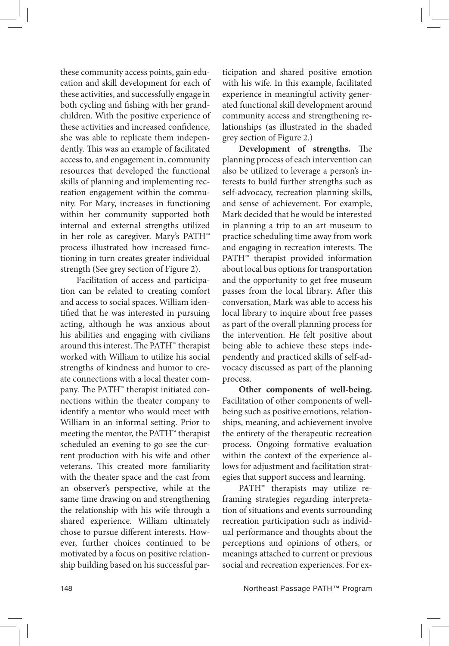these community access points, gain education and skill development for each of these activities, and successfully engage in both cycling and fishing with her grandchildren. With the positive experience of these activities and increased confidence, she was able to replicate them independently. This was an example of facilitated access to, and engagement in, community resources that developed the functional skills of planning and implementing recreation engagement within the community. For Mary, increases in functioning within her community supported both internal and external strengths utilized in her role as caregiver. Mary's PATH™ process illustrated how increased functioning in turn creates greater individual strength (See grey section of Figure 2).

Facilitation of access and participation can be related to creating comfort and access to social spaces. William identified that he was interested in pursuing acting, although he was anxious about his abilities and engaging with civilians around this interest. The PATH™ therapist worked with William to utilize his social strengths of kindness and humor to create connections with a local theater company. The PATH™ therapist initiated connections within the theater company to identify a mentor who would meet with William in an informal setting. Prior to meeting the mentor, the PATH™ therapist scheduled an evening to go see the current production with his wife and other veterans. This created more familiarity with the theater space and the cast from an observer's perspective, while at the same time drawing on and strengthening the relationship with his wife through a shared experience. William ultimately chose to pursue different interests. However, further choices continued to be motivated by a focus on positive relationship building based on his successful participation and shared positive emotion with his wife. In this example, facilitated experience in meaningful activity generated functional skill development around community access and strengthening relationships (as illustrated in the shaded grey section of Figure 2.)

**Development of strengths.** The planning process of each intervention can also be utilized to leverage a person's interests to build further strengths such as self-advocacy, recreation planning skills, and sense of achievement. For example, Mark decided that he would be interested in planning a trip to an art museum to practice scheduling time away from work and engaging in recreation interests. The PATH<sup>™</sup> therapist provided information about local bus options for transportation and the opportunity to get free museum passes from the local library. After this conversation, Mark was able to access his local library to inquire about free passes as part of the overall planning process for the intervention. He felt positive about being able to achieve these steps independently and practiced skills of self-advocacy discussed as part of the planning process.

**Other components of well-being.**  Facilitation of other components of wellbeing such as positive emotions, relationships, meaning, and achievement involve the entirety of the therapeutic recreation process. Ongoing formative evaluation within the context of the experience allows for adjustment and facilitation strategies that support success and learning.

PATH<sup>™</sup> therapists may utilize reframing strategies regarding interpretation of situations and events surrounding recreation participation such as individual performance and thoughts about the perceptions and opinions of others, or meanings attached to current or previous social and recreation experiences. For ex-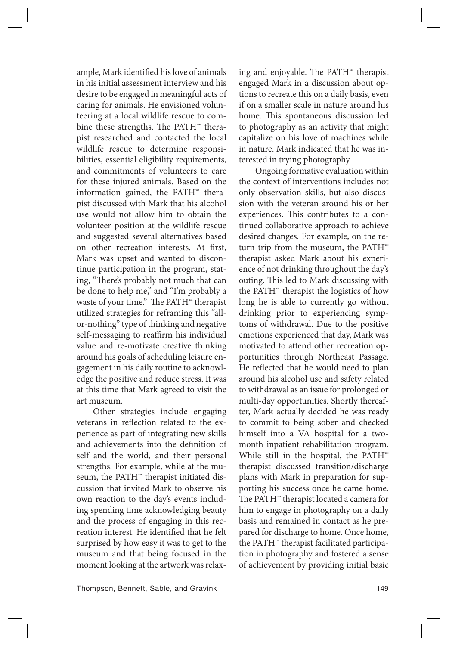ample, Mark identified his love of animals in his initial assessment interview and his desire to be engaged in meaningful acts of caring for animals. He envisioned volunteering at a local wildlife rescue to combine these strengths. The PATH™ therapist researched and contacted the local wildlife rescue to determine responsibilities, essential eligibility requirements, and commitments of volunteers to care for these injured animals. Based on the information gained, the PATH™ therapist discussed with Mark that his alcohol use would not allow him to obtain the volunteer position at the wildlife rescue and suggested several alternatives based on other recreation interests. At first, Mark was upset and wanted to discontinue participation in the program, stating, "There's probably not much that can be done to help me," and "I'm probably a waste of your time." The PATH™ therapist utilized strategies for reframing this "allor-nothing" type of thinking and negative self-messaging to reaffirm his individual value and re-motivate creative thinking around his goals of scheduling leisure engagement in his daily routine to acknowledge the positive and reduce stress. It was at this time that Mark agreed to visit the art museum.

Other strategies include engaging veterans in reflection related to the experience as part of integrating new skills and achievements into the definition of self and the world, and their personal strengths. For example, while at the museum, the PATH<sup>™</sup> therapist initiated discussion that invited Mark to observe his own reaction to the day's events including spending time acknowledging beauty and the process of engaging in this recreation interest. He identified that he felt surprised by how easy it was to get to the museum and that being focused in the moment looking at the artwork was relaxing and enjoyable. The PATH™ therapist engaged Mark in a discussion about options to recreate this on a daily basis, even if on a smaller scale in nature around his home. This spontaneous discussion led to photography as an activity that might capitalize on his love of machines while in nature. Mark indicated that he was interested in trying photography.

Ongoing formative evaluation within the context of interventions includes not only observation skills, but also discussion with the veteran around his or her experiences. This contributes to a continued collaborative approach to achieve desired changes. For example, on the return trip from the museum, the PATH™ therapist asked Mark about his experience of not drinking throughout the day's outing. This led to Mark discussing with the PATH™ therapist the logistics of how long he is able to currently go without drinking prior to experiencing symptoms of withdrawal. Due to the positive emotions experienced that day, Mark was motivated to attend other recreation opportunities through Northeast Passage. He reflected that he would need to plan around his alcohol use and safety related to withdrawal as an issue for prolonged or multi-day opportunities. Shortly thereafter, Mark actually decided he was ready to commit to being sober and checked himself into a VA hospital for a twomonth inpatient rehabilitation program. While still in the hospital, the PATH™ therapist discussed transition/discharge plans with Mark in preparation for supporting his success once he came home. The PATH™ therapist located a camera for him to engage in photography on a daily basis and remained in contact as he prepared for discharge to home. Once home, the PATH™ therapist facilitated participation in photography and fostered a sense of achievement by providing initial basic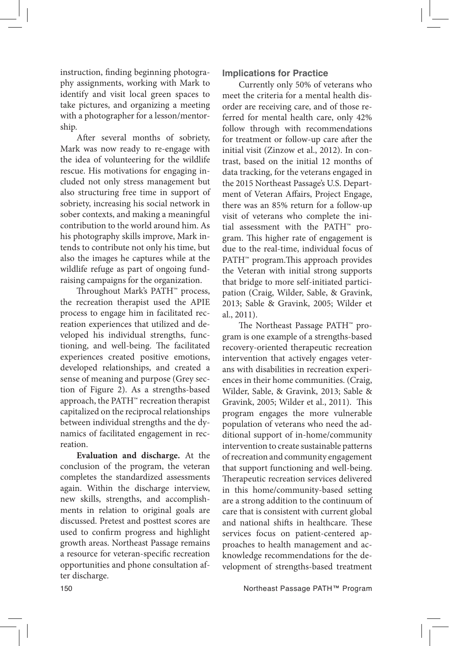instruction, finding beginning photography assignments, working with Mark to identify and visit local green spaces to take pictures, and organizing a meeting with a photographer for a lesson/mentorship.

After several months of sobriety, Mark was now ready to re-engage with the idea of volunteering for the wildlife rescue. His motivations for engaging included not only stress management but also structuring free time in support of sobriety, increasing his social network in sober contexts, and making a meaningful contribution to the world around him. As his photography skills improve, Mark intends to contribute not only his time, but also the images he captures while at the wildlife refuge as part of ongoing fundraising campaigns for the organization.

Throughout Mark's PATH™ process, the recreation therapist used the APIE process to engage him in facilitated recreation experiences that utilized and developed his individual strengths, functioning, and well-being. The facilitated experiences created positive emotions, developed relationships, and created a sense of meaning and purpose (Grey section of Figure 2). As a strengths-based approach, the PATH™ recreation therapist capitalized on the reciprocal relationships between individual strengths and the dynamics of facilitated engagement in recreation.

**Evaluation and discharge.** At the conclusion of the program, the veteran completes the standardized assessments again. Within the discharge interview, new skills, strengths, and accomplishments in relation to original goals are discussed. Pretest and posttest scores are used to confirm progress and highlight growth areas. Northeast Passage remains a resource for veteran-specific recreation opportunities and phone consultation after discharge.

#### **Implications for Practice**

Currently only 50% of veterans who meet the criteria for a mental health disorder are receiving care, and of those referred for mental health care, only 42% follow through with recommendations for treatment or follow-up care after the initial visit (Zinzow et al., 2012). In contrast, based on the initial 12 months of data tracking, for the veterans engaged in the 2015 Northeast Passage's U.S. Department of Veteran Affairs, Project Engage, there was an 85% return for a follow-up visit of veterans who complete the initial assessment with the PATH™ program. This higher rate of engagement is due to the real-time, individual focus of PATH<sup>™</sup> program.This approach provides the Veteran with initial strong supports that bridge to more self-initiated participation (Craig, Wilder, Sable, & Gravink, 2013; Sable & Gravink, 2005; Wilder et al., 2011).

The Northeast Passage PATH™ program is one example of a strengths-based recovery-oriented therapeutic recreation intervention that actively engages veterans with disabilities in recreation experiences in their home communities. (Craig, Wilder, Sable, & Gravink, 2013; Sable & Gravink, 2005; Wilder et al., 2011). This program engages the more vulnerable population of veterans who need the additional support of in-home/community intervention to create sustainable patterns of recreation and community engagement that support functioning and well-being. Therapeutic recreation services delivered in this home/community-based setting are a strong addition to the continuum of care that is consistent with current global and national shifts in healthcare. These services focus on patient-centered approaches to health management and acknowledge recommendations for the development of strengths-based treatment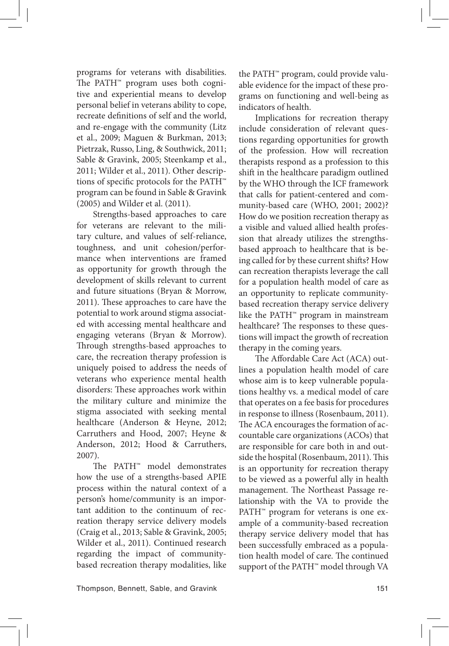programs for veterans with disabilities. The PATH™ program uses both cognitive and experiential means to develop personal belief in veterans ability to cope, recreate definitions of self and the world, and re-engage with the community (Litz et al., 2009; Maguen & Burkman, 2013; Pietrzak, Russo, Ling, & Southwick, 2011; Sable & Gravink, 2005; Steenkamp et al., 2011; Wilder et al., 2011). Other descriptions of specific protocols for the PATH™ program can be found in Sable & Gravink (2005) and Wilder et al. (2011).

Strengths-based approaches to care for veterans are relevant to the military culture, and values of self-reliance, toughness, and unit cohesion/performance when interventions are framed as opportunity for growth through the development of skills relevant to current and future situations (Bryan & Morrow, 2011). These approaches to care have the potential to work around stigma associated with accessing mental healthcare and engaging veterans (Bryan & Morrow). Through strengths-based approaches to care, the recreation therapy profession is uniquely poised to address the needs of veterans who experience mental health disorders: These approaches work within the military culture and minimize the stigma associated with seeking mental healthcare (Anderson & Heyne, 2012; Carruthers and Hood, 2007; Heyne & Anderson, 2012; Hood & Carruthers, 2007).

The PATH™ model demonstrates how the use of a strengths-based APIE process within the natural context of a person's home/community is an important addition to the continuum of recreation therapy service delivery models (Craig et al., 2013; Sable & Gravink, 2005; Wilder et al., 2011). Continued research regarding the impact of communitybased recreation therapy modalities, like the PATH™ program, could provide valuable evidence for the impact of these programs on functioning and well-being as indicators of health.

Implications for recreation therapy include consideration of relevant questions regarding opportunities for growth of the profession. How will recreation therapists respond as a profession to this shift in the healthcare paradigm outlined by the WHO through the ICF framework that calls for patient-centered and community-based care (WHO, 2001; 2002)? How do we position recreation therapy as a visible and valued allied health profession that already utilizes the strengthsbased approach to healthcare that is being called for by these current shifts? How can recreation therapists leverage the call for a population health model of care as an opportunity to replicate communitybased recreation therapy service delivery like the PATH™ program in mainstream healthcare? The responses to these questions will impact the growth of recreation therapy in the coming years.

The Affordable Care Act (ACA) outlines a population health model of care whose aim is to keep vulnerable populations healthy vs. a medical model of care that operates on a fee basis for procedures in response to illness (Rosenbaum, 2011). The ACA encourages the formation of accountable care organizations (ACOs) that are responsible for care both in and outside the hospital (Rosenbaum, 2011). This is an opportunity for recreation therapy to be viewed as a powerful ally in health management. The Northeast Passage relationship with the VA to provide the PATH<sup>™</sup> program for veterans is one example of a community-based recreation therapy service delivery model that has been successfully embraced as a population health model of care. The continued support of the PATH™ model through VA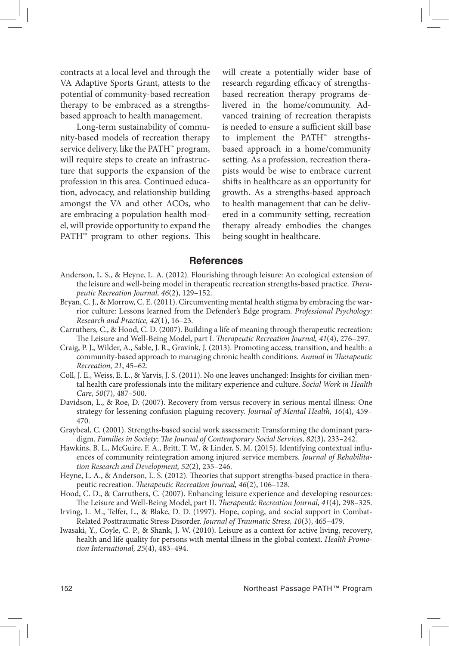contracts at a local level and through the VA Adaptive Sports Grant, attests to the potential of community-based recreation therapy to be embraced as a strengthsbased approach to health management.

Long-term sustainability of community-based models of recreation therapy service delivery, like the PATH™ program, will require steps to create an infrastructure that supports the expansion of the profession in this area. Continued education, advocacy, and relationship building amongst the VA and other ACOs, who are embracing a population health model, will provide opportunity to expand the PATH<sup>™</sup> program to other regions. This will create a potentially wider base of research regarding efficacy of strengthsbased recreation therapy programs delivered in the home/community. Advanced training of recreation therapists is needed to ensure a sufficient skill base to implement the PATH™ strengthsbased approach in a home/community setting. As a profession, recreation therapists would be wise to embrace current shifts in healthcare as an opportunity for growth. As a strengths-based approach to health management that can be delivered in a community setting, recreation therapy already embodies the changes being sought in healthcare.

#### **References**

- Anderson, L. S., & Heyne, L. A. (2012). Flourishing through leisure: An ecological extension of the leisure and well-being model in therapeutic recreation strengths-based practice. *Therapeutic Recreation Journal, 46*(2), 129–152.
- Bryan, C. J., & Morrow, C. E. (2011). Circumventing mental health stigma by embracing the warrior culture: Lessons learned from the Defender's Edge program. *Professional Psychology: Research and Practice, 42*(1), 16–23.
- Carruthers, C., & Hood, C. D. (2007). Building a life of meaning through therapeutic recreation: The Leisure and Well-Being Model, part I. *Therapeutic Recreation Journal, 41*(4), 276–297.
- Craig, P. J., Wilder, A., Sable, J. R., Gravink, J. (2013). Promoting access, transition, and health: a community-based approach to managing chronic health conditions. *Annual in Therapeutic Recreation, 21*, 45–62.
- Coll, J. E., Weiss, E. L., & Yarvis, J. S. (2011). No one leaves unchanged: Insights for civilian mental health care professionals into the military experience and culture. *Social Work in Health Care, 50*(7), 487–500.
- Davidson, L., & Roe, D. (2007). Recovery from versus recovery in serious mental illness: One strategy for lessening confusion plaguing recovery. *Journal of Mental Health, 16*(4), 459– 470.
- Graybeal, C. (2001). Strengths-based social work assessment: Transforming the dominant paradigm. *Families in Society: The Journal of Contemporary Social Services, 82*(3), 233–242.
- Hawkins, B. L., McGuire, F. A., Britt, T. W., & Linder, S. M. (2015). Identifying contextual influences of community reintegration among injured service members. *Journal of Rehabilitation Research and Development, 52*(2), 235–246.
- Heyne, L. A., & Anderson, L. S. (2012). Theories that support strengths-based practice in therapeutic recreation. *Therapeutic Recreation Journal, 46*(2), 106–128.
- Hood, C. D., & Carruthers, C. (2007). Enhancing leisure experience and developing resources: The Leisure and Well-Being Model, part II. *Therapeutic Recreation Journal, 41*(4), 298–325.
- Irving, L. M., Telfer, L., & Blake, D. D. (1997). Hope, coping, and social support in Combat-Related Posttraumatic Stress Disorder. *Journal of Traumatic Stress, 10*(3), 465–479.
- Iwasaki, Y., Coyle, C. P., & Shank, J. W. (2010). Leisure as a context for active living, recovery, health and life quality for persons with mental illness in the global context. *Health Promotion International, 25*(4), 483–494.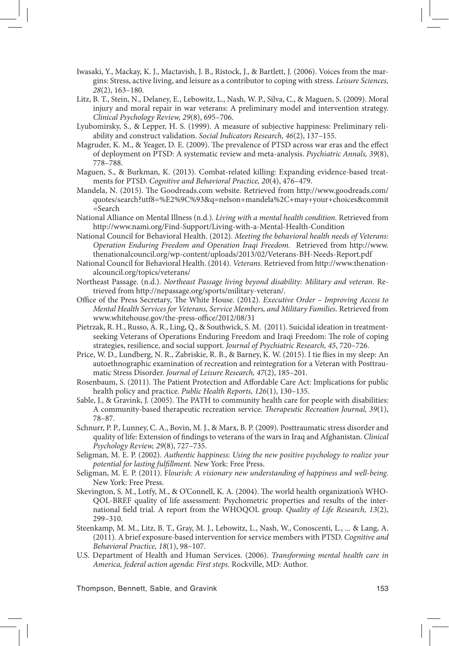- Iwasaki, Y., Mackay, K. J., Mactavish, J. B., Ristock, J., & Bartlett, J. (2006). Voices from the margins: Stress, active living, and leisure as a contributor to coping with stress. *Leisure Sciences, 28*(2), 163–180.
- Litz, B. T., Stein, N., Delaney, E., Lebowitz, L., Nash, W. P., Silva, C., & Maguen, S. (2009). Moral injury and moral repair in war veterans: A preliminary model and intervention strategy. *Clinical Psychology Review, 29*(8), 695–706.
- Lyubomirsky, S., & Lepper, H. S. (1999). A measure of subjective happiness: Preliminary reliability and construct validation. *Social Indicators Research, 46*(2), 137–155.
- Magruder, K. M., & Yeager, D. E. (2009). The prevalence of PTSD across war eras and the effect of deployment on PTSD: A systematic review and meta-analysis. *Psychiatric Annals, 39*(8), 778–788.
- Maguen, S., & Burkman, K. (2013). Combat-related killing: Expanding evidence-based treatments for PTSD. *Cognitive and Behavioral Practice, 20*(4), 476–479.
- Mandela, N. (2015). The Goodreads.com website. Retrieved from http://www.goodreads.com/ quotes/search?utf8=%E2%9C%93&q=nelson+mandela%2C+may+your+choices&commit =Search
- National Alliance on Mental Illness (n.d.). *Living with a mental health condition.* Retrieved from http://www.nami.org/Find-Support/Living-with-a-Mental-Health-Condition
- National Council for Behavioral Health. (2012). *Meeting the behavioral health needs of Veterans: Operation Enduring Freedom and Operation Iraqi Freedom.* Retrieved from http://www. thenationalcouncil.org/wp-content/uploads/2013/02/Veterans-BH-Needs-Report.pdf
- National Council for Behavioral Health. (2014). *Veterans.* Retrieved from http://www.thenationalcouncil.org/topics/veterans/
- Northeast Passage. (n.d.). *Northeast Passage living beyond disability: Military and veteran.* Retrieved from http://nepassage.org/sports/military-veteran/.
- Office of the Press Secretary, The White House. (2012). *Executive Order Improving Access to Mental Health Services for Veterans, Service Members, and Military Families.* Retrieved from www.whitehouse.gov/the-press-office/2012/08/31
- Pietrzak, R. H., Russo, A. R., Ling, Q., & Southwick, S. M. (2011). Suicidal ideation in treatmentseeking Veterans of Operations Enduring Freedom and Iraqi Freedom: The role of coping strategies, resilience, and social support. *Journal of Psychiatric Research, 45*, 720–726.
- Price, W. D., Lundberg, N. R., Zabriskie, R. B., & Barney, K. W. (2015). I tie flies in my sleep: An autoethnographic examination of recreation and reintegration for a Veteran with Posttraumatic Stress Disorder. *Journal of Leisure Research, 47*(2), 185–201.
- Rosenbaum, S. (2011). The Patient Protection and Affordable Care Act: Implications for public health policy and practice. *Public Health Reports, 126*(1), 130–135.
- Sable, J., & Gravink, J. (2005). The PATH to community health care for people with disabilities: A community-based therapeutic recreation service. *Therapeutic Recreation Journal, 39*(1), 78–87.
- Schnurr, P. P., Lunney, C. A., Bovin, M. J., & Marx, B. P. (2009). Posttraumatic stress disorder and quality of life: Extension of findings to veterans of the wars in Iraq and Afghanistan. *Clinical Psychology Review, 29*(8), 727–735.
- Seligman, M. E. P. (2002). *Authentic happiness: Using the new positive psychology to realize your potential for lasting fulfillment.* New York: Free Press.
- Seligman, M. E. P. (2011). F*lourish: A visionary new understanding of happiness and well-being.*  New York: Free Press.
- Skevington, S. M., Lotfy, M., & O'Connell, K. A. (2004). The world health organization's WHO-QOL-BREF quality of life assessment: Psychometric properties and results of the international field trial. A report from the WHOQOL group. *Quality of Life Research, 13*(2), 299–310.
- Steenkamp, M. M., Litz, B. T., Gray, M. J., Lebowitz, L., Nash, W., Conoscenti, L., ... & Lang, A. (2011). A brief exposure-based intervention for service members with PTSD. *Cognitive and Behavioral Practice, 18*(1), 98–107.
- U.S. Department of Health and Human Services. (2006). *Transforming mental health care in America, federal action agenda: First steps.* Rockville, MD: Author.